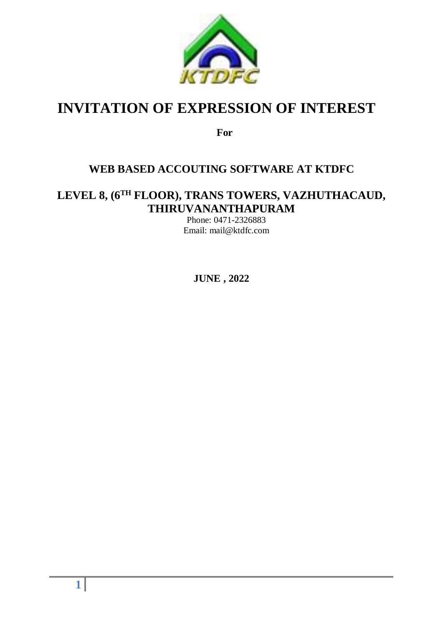

# **INVITATION OF EXPRESSION OF INTEREST**

**For**

## **WEB BASED ACCOUTING SOFTWARE AT KTDFC**

# **LEVEL 8, (6TH FLOOR), TRANS TOWERS, VAZHUTHACAUD, THIRUVANANTHAPURAM**

Phone: 0471-2326883 Email: mail@ktdfc.com

**JUNE , 2022**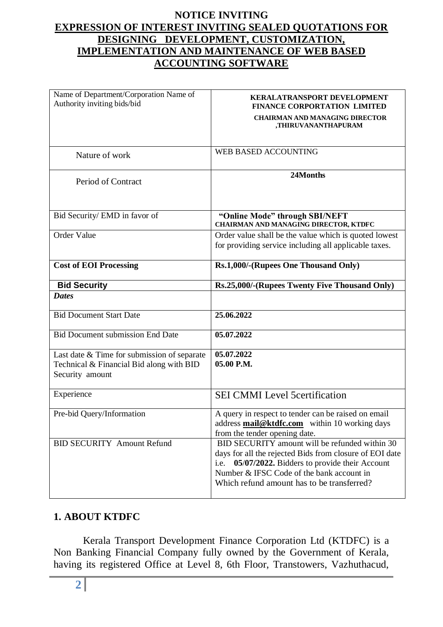#### **NOTICE INVITING EXPRESSION OF INTEREST INVITING SEALED QUOTATIONS FOR DESIGNING DEVELOPMENT, CUSTOMIZATION, IMPLEMENTATION AND MAINTENANCE OF WEB BASED ACCOUNTING SOFTWARE**

| Name of Department/Corporation Name of<br>Authority inviting bids/bid                                      | KERALATRANSPORT DEVELOPMENT<br><b>FINANCE CORPORTATION LIMITED</b><br><b>CHAIRMAN AND MANAGING DIRECTOR</b><br>,THIRUVANANTHAPURAM                                                                                                                           |
|------------------------------------------------------------------------------------------------------------|--------------------------------------------------------------------------------------------------------------------------------------------------------------------------------------------------------------------------------------------------------------|
| Nature of work                                                                                             | WEB BASED ACCOUNTING                                                                                                                                                                                                                                         |
| Period of Contract                                                                                         | 24Months                                                                                                                                                                                                                                                     |
| Bid Security/ EMD in favor of                                                                              | "Online Mode" through SBI/NEFT<br><b>CHAIRMAN AND MANAGING DIRECTOR, KTDFC</b>                                                                                                                                                                               |
| Order Value                                                                                                | Order value shall be the value which is quoted lowest<br>for providing service including all applicable taxes.                                                                                                                                               |
| <b>Cost of EOI Processing</b>                                                                              | Rs.1,000/-(Rupees One Thousand Only)                                                                                                                                                                                                                         |
| <b>Bid Security</b>                                                                                        | Rs.25,000/-(Rupees Twenty Five Thousand Only)                                                                                                                                                                                                                |
| <b>Dates</b>                                                                                               |                                                                                                                                                                                                                                                              |
| <b>Bid Document Start Date</b>                                                                             | 25.06.2022                                                                                                                                                                                                                                                   |
| <b>Bid Document submission End Date</b>                                                                    | 05.07.2022                                                                                                                                                                                                                                                   |
| Last date & Time for submission of separate<br>Technical & Financial Bid along with BID<br>Security amount | 05.07.2022<br>05.00 P.M.                                                                                                                                                                                                                                     |
| Experience                                                                                                 | <b>SEI CMMI Level 5 certification</b>                                                                                                                                                                                                                        |
| Pre-bid Query/Information                                                                                  | A query in respect to tender can be raised on email<br>address mail@ktdfc.com within 10 working days<br>from the tender opening date.                                                                                                                        |
| <b>BID SECURITY Amount Refund</b>                                                                          | BID SECURITY amount will be refunded within 30<br>days for all the rejected Bids from closure of EOI date<br>05/07/2022. Bidders to provide their Account<br>i.e.<br>Number & IFSC Code of the bank account in<br>Which refund amount has to be transferred? |

### **1. ABOUT KTDFC**

Kerala Transport Development Finance Corporation Ltd (KTDFC) is a Non Banking Financial Company fully owned by the Government of Kerala, having its registered Office at Level 8, 6th Floor, Transtowers, Vazhuthacud,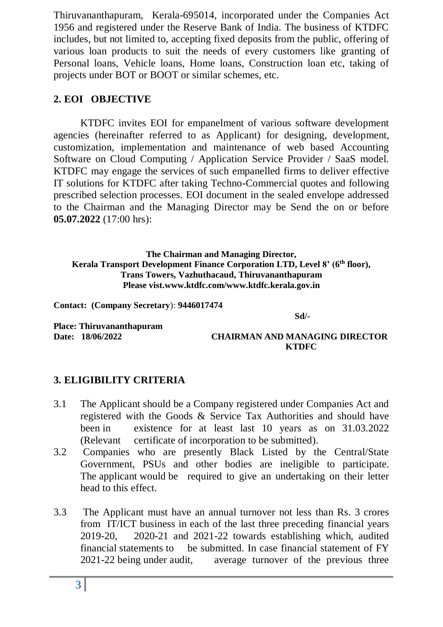Thiruvananthapuram, Kerala-695014, incorporated under the Companies Act 1956 and registered under the Reserve Bank of India. The business of KTDFC includes, but not limited to, accepting fixed deposits from the public, offering of various loan products to suit the needs of every customers like granting of Personal loans, Vehicle loans, Home loans, Construction loan etc, taking of projects under BOT or BOOT or similar schemes, etc.

#### **2. EOI OBJECTIVE**

KTDFC invites EOI for empanelment of various software development agencies (hereinafter referred to as Applicant) for designing, development, customization, implementation and maintenance of web based Accounting Software on Cloud Computing / Application Service Provider / SaaS model. KTDFC may engage the services of such empanelled firms to deliver effective IT solutions for KTDFC after taking Techno-Commercial quotes and following prescribed selection processes. EOI document in the sealed envelope addressed to the Chairman and the Managing Director may be Send the on or before **05.07.2022** (17:00 hrs):

**The Chairman and Managing Director, Kerala Transport Development Finance Corporation LTD, Level 8' (6 th floor), Trans Towers, Vazhuthacaud, Thiruvananthapuram Please vist.www.ktdfc.com/www.ktdfc.kerala.gov.in**

**Contact: (Company Secretary**): **9446017474**

**Sd/-**

**Place: Thiruvananthapuram** 

**Date: 18/06/2022 CHAIRMAN AND MANAGING DIRECTOR KTDFC**

### **3. ELIGIBILITY CRITERIA**

- 3.1 The Applicant should be a Company registered under Companies Act and registered with the Goods & Service Tax Authorities and should have been in existence for at least last 10 years as on 31.03.2022 (Relevant certificate of incorporation to be submitted).
- 3.2 Companies who are presently Black Listed by the Central/State Government, PSUs and other bodies are ineligible to participate. The applicant would be required to give an undertaking on their letter head to this effect.
- 3.3 The Applicant must have an annual turnover not less than Rs. 3 crores from IT/ICT business in each of the last three preceding financial years 2019-20, 2020-21 and 2021-22 towards establishing which, audited financial statements to be submitted. In case financial statement of FY 2021-22 being under audit, average turnover of the previous three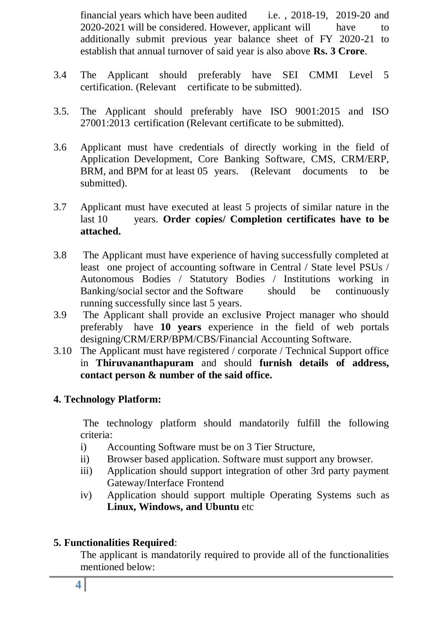financial years which have been audited i.e. , 2018-19, 2019-20 and 2020-2021 will be considered. However, applicant will have to additionally submit previous year balance sheet of FY 2020-21 to establish that annual turnover of said year is also above **Rs. 3 Crore**.

- 3.4 The Applicant should preferably have SEI CMMI Level 5 certification. (Relevant certificate to be submitted).
- 3.5. The Applicant should preferably have ISO 9001:2015 and ISO 27001:2013 certification (Relevant certificate to be submitted).
- 3.6 Applicant must have credentials of directly working in the field of Application Development, Core Banking Software, CMS, CRM/ERP, BRM, and BPM for at least 05 years. (Relevant documents to be submitted).
- 3.7 Applicant must have executed at least 5 projects of similar nature in the last 10 years. **Order copies/ Completion certificates have to be attached.**
- 3.8 The Applicant must have experience of having successfully completed at least one project of accounting software in Central / State level PSUs / Autonomous Bodies / Statutory Bodies / Institutions working in Banking/social sector and the Software should be continuously running successfully since last 5 years.
- 3.9 The Applicant shall provide an exclusive Project manager who should preferably have **10 years** experience in the field of web portals designing/CRM/ERP/BPM/CBS/Financial Accounting Software.
- 3.10 The Applicant must have registered / corporate / Technical Support office in **Thiruvananthapuram** and should **furnish details of address, contact person & number of the said office.**

#### **4. Technology Platform:**

The technology platform should mandatorily fulfill the following criteria:

- i) Accounting Software must be on 3 Tier Structure,
- ii) Browser based application. Software must support any browser.
- iii) Application should support integration of other 3rd party payment Gateway/Interface Frontend
- iv) Application should support multiple Operating Systems such as **Linux, Windows, and Ubuntu** etc

#### **5. Functionalities Required**:

The applicant is mandatorily required to provide all of the functionalities mentioned below: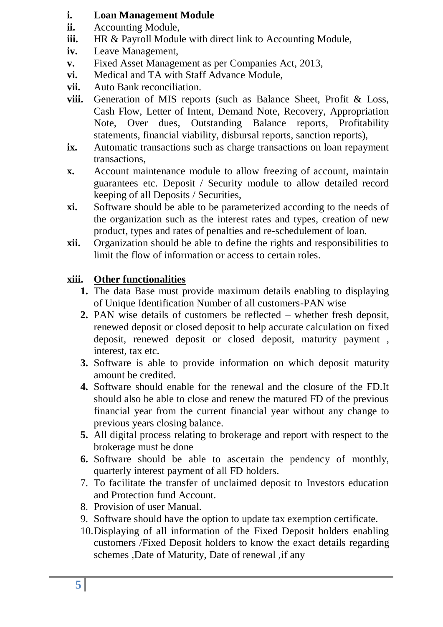#### **i. Loan Management Module**

- **ii.** Accounting Module,
- **iii.** HR & Payroll Module with direct link to Accounting Module,
- **iv.** Leave Management,
- **v.** Fixed Asset Management as per Companies Act, 2013,
- **vi.** Medical and TA with Staff Advance Module,
- **vii.** Auto Bank reconciliation.
- **viii.** Generation of MIS reports (such as Balance Sheet, Profit & Loss, Cash Flow, Letter of Intent, Demand Note, Recovery, Appropriation Note, Over dues, Outstanding Balance reports, Profitability statements, financial viability, disbursal reports, sanction reports),
- **ix.** Automatic transactions such as charge transactions on loan repayment transactions,
- **x.** Account maintenance module to allow freezing of account, maintain guarantees etc. Deposit / Security module to allow detailed record keeping of all Deposits / Securities,
- **xi.** Software should be able to be parameterized according to the needs of the organization such as the interest rates and types, creation of new product, types and rates of penalties and re-schedulement of loan.
- **xii.** Organization should be able to define the rights and responsibilities to limit the flow of information or access to certain roles.

### **xiii. Other functionalities**

- **1.** The data Base must provide maximum details enabling to displaying of Unique Identification Number of all customers-PAN wise
- **2.** PAN wise details of customers be reflected whether fresh deposit, renewed deposit or closed deposit to help accurate calculation on fixed deposit, renewed deposit or closed deposit, maturity payment , interest, tax etc.
- **3.** Software is able to provide information on which deposit maturity amount be credited.
- **4.** Software should enable for the renewal and the closure of the FD.It should also be able to close and renew the matured FD of the previous financial year from the current financial year without any change to previous years closing balance.
- **5.** All digital process relating to brokerage and report with respect to the brokerage must be done
- **6.** Software should be able to ascertain the pendency of monthly, quarterly interest payment of all FD holders.
- 7. To facilitate the transfer of unclaimed deposit to Investors education and Protection fund Account.
- 8. Provision of user Manual.
- 9. Software should have the option to update tax exemption certificate.
- 10.Displaying of all information of the Fixed Deposit holders enabling customers /Fixed Deposit holders to know the exact details regarding schemes ,Date of Maturity, Date of renewal ,if any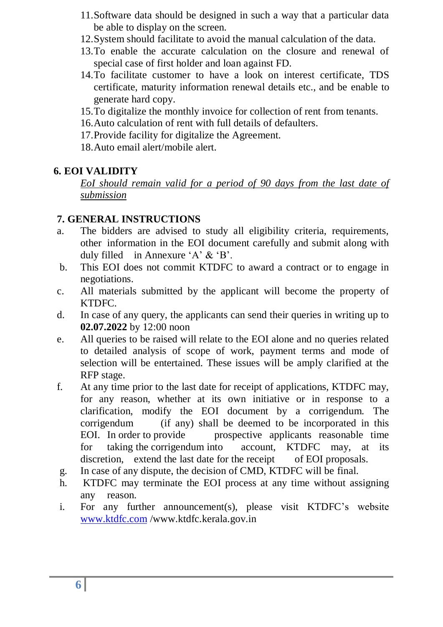- 11.Software data should be designed in such a way that a particular data be able to display on the screen.
- 12.System should facilitate to avoid the manual calculation of the data.
- 13.To enable the accurate calculation on the closure and renewal of special case of first holder and loan against FD.
- 14.To facilitate customer to have a look on interest certificate, TDS certificate, maturity information renewal details etc., and be enable to generate hard copy.
- 15.To digitalize the monthly invoice for collection of rent from tenants.
- 16.Auto calculation of rent with full details of defaulters.
- 17.Provide facility for digitalize the Agreement.
- 18.Auto email alert/mobile alert.

#### **6. EOI VALIDITY**

*EoI should remain valid for a period of 90 days from the last date of submission*

#### **7. GENERAL INSTRUCTIONS**

- a. The bidders are advised to study all eligibility criteria, requirements, other information in the EOI document carefully and submit along with duly filled in Annexure 'A' & 'B'.
- b. This EOI does not commit KTDFC to award a contract or to engage in negotiations.
- c. All materials submitted by the applicant will become the property of KTDFC.
- d. In case of any query, the applicants can send their queries in writing up to **02.07.2022** by 12:00 noon
- e. All queries to be raised will relate to the EOI alone and no queries related to detailed analysis of scope of work, payment terms and mode of selection will be entertained. These issues will be amply clarified at the RFP stage.
- f. At any time prior to the last date for receipt of applications, KTDFC may, for any reason, whether at its own initiative or in response to a clarification, modify the EOI document by a corrigendum. The corrigendum (if any) shall be deemed to be incorporated in this EOI. In order to provide prospective applicants reasonable time for taking the corrigendum into account, KTDFC may, at its discretion, extend the last date for the receipt of EOI proposals.
- g. In case of any dispute, the decision of CMD, KTDFC will be final.
- h. KTDFC may terminate the EOI process at any time without assigning any reason.
- i. For any further announcement(s), please visit KTDFC's website [www.ktdfc.com](http://www.ktdfc.com/) /www.ktdfc.kerala.gov.in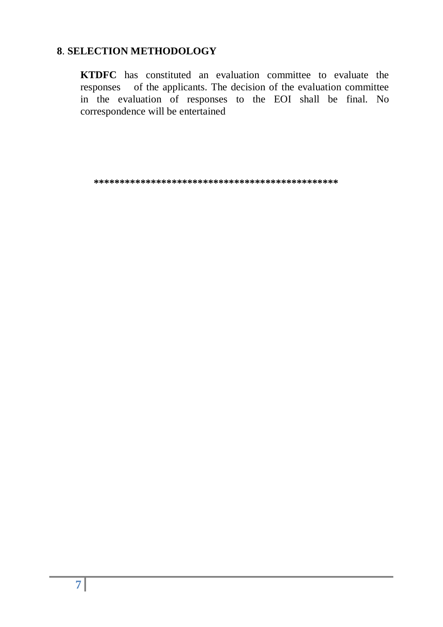#### **8**. **SELECTION METHODOLOGY**

**KTDFC** has constituted an evaluation committee to evaluate the responses of the applicants. The decision of the evaluation committee in the evaluation of responses to the EOI shall be final. No correspondence will be entertained

**\*\*\*\*\*\*\*\*\*\*\*\*\*\*\*\*\*\*\*\*\*\*\*\*\*\*\*\*\*\*\*\*\*\*\*\*\*\*\*\*\*\*\*\*\*\*\***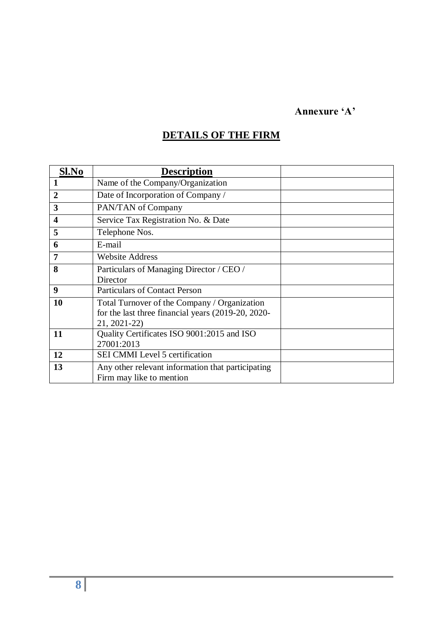### **Annexure 'A'**

# **DETAILS OF THE FIRM**

| Sl.No          | <b>Description</b>                                 |  |
|----------------|----------------------------------------------------|--|
|                | Name of the Company/Organization                   |  |
| $\overline{2}$ | Date of Incorporation of Company /                 |  |
| 3              | PAN/TAN of Company                                 |  |
| 4              | Service Tax Registration No. & Date                |  |
| 5              | Telephone Nos.                                     |  |
| 6              | E-mail                                             |  |
| 7              | <b>Website Address</b>                             |  |
| 8              | Particulars of Managing Director / CEO /           |  |
|                | Director                                           |  |
| 9              | <b>Particulars of Contact Person</b>               |  |
| 10             | Total Turnover of the Company / Organization       |  |
|                | for the last three financial years (2019-20, 2020- |  |
|                | 21, 2021-22)                                       |  |
| 11             | Quality Certificates ISO 9001:2015 and ISO         |  |
|                | 27001:2013                                         |  |
| 12             | <b>SEI CMMI</b> Level 5 certification              |  |
| 13             | Any other relevant information that participating  |  |
|                | Firm may like to mention                           |  |